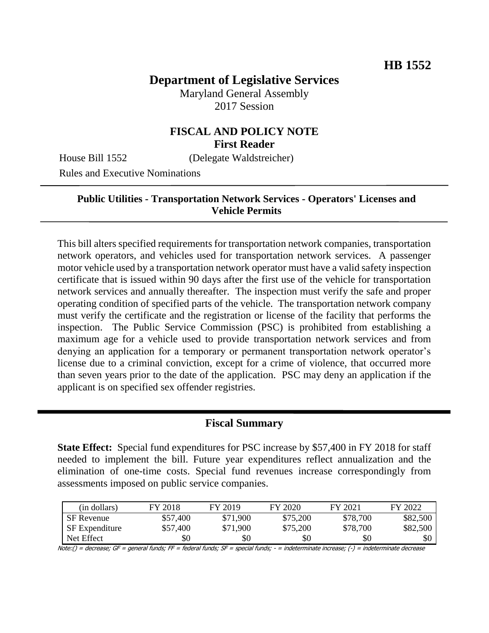# **Department of Legislative Services**

Maryland General Assembly 2017 Session

## **FISCAL AND POLICY NOTE First Reader**

House Bill 1552 (Delegate Waldstreicher)

Rules and Executive Nominations

#### **Public Utilities - Transportation Network Services - Operators' Licenses and Vehicle Permits**

This bill alters specified requirements for transportation network companies, transportation network operators, and vehicles used for transportation network services. A passenger motor vehicle used by a transportation network operator must have a valid safety inspection certificate that is issued within 90 days after the first use of the vehicle for transportation network services and annually thereafter. The inspection must verify the safe and proper operating condition of specified parts of the vehicle. The transportation network company must verify the certificate and the registration or license of the facility that performs the inspection. The Public Service Commission (PSC) is prohibited from establishing a maximum age for a vehicle used to provide transportation network services and from denying an application for a temporary or permanent transportation network operator's license due to a criminal conviction, except for a crime of violence, that occurred more than seven years prior to the date of the application. PSC may deny an application if the applicant is on specified sex offender registries.

### **Fiscal Summary**

**State Effect:** Special fund expenditures for PSC increase by \$57,400 in FY 2018 for staff needed to implement the bill. Future year expenditures reflect annualization and the elimination of one-time costs. Special fund revenues increase correspondingly from assessments imposed on public service companies.

| (in dollars)          | FY 2018  | FY 2019  | FY 2020  | FY 2021  | FY 2022  |
|-----------------------|----------|----------|----------|----------|----------|
| <b>SF</b> Revenue     | \$57,400 | \$71,900 | \$75,200 | \$78,700 | \$82,500 |
| <b>SF</b> Expenditure | \$57,400 | \$71,900 | \$75,200 | \$78,700 | \$82,500 |
| Net Effect            | \$0      | \$0      | \$0      | \$0      | \$0      |

Note:() = decrease; GF = general funds; FF = federal funds; SF = special funds; - = indeterminate increase; (-) = indeterminate decrease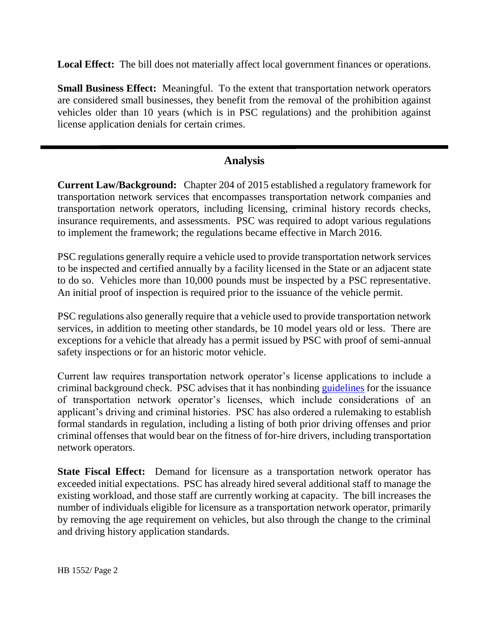**Local Effect:** The bill does not materially affect local government finances or operations.

**Small Business Effect:** Meaningful. To the extent that transportation network operators are considered small businesses, they benefit from the removal of the prohibition against vehicles older than 10 years (which is in PSC regulations) and the prohibition against license application denials for certain crimes.

## **Analysis**

**Current Law/Background:** Chapter 204 of 2015 established a regulatory framework for transportation network services that encompasses transportation network companies and transportation network operators, including licensing, criminal history records checks, insurance requirements, and assessments. PSC was required to adopt various regulations to implement the framework; the regulations became effective in March 2016.

PSC regulations generally require a vehicle used to provide transportation network services to be inspected and certified annually by a facility licensed in the State or an adjacent state to do so. Vehicles more than 10,000 pounds must be inspected by a PSC representative. An initial proof of inspection is required prior to the issuance of the vehicle permit.

PSC regulations also generally require that a vehicle used to provide transportation network services, in addition to meeting other standards, be 10 model years old or less. There are exceptions for a vehicle that already has a permit issued by PSC with proof of semi-annual safety inspections or for an historic motor vehicle.

Current law requires transportation network operator's license applications to include a criminal background check. PSC advises that it has nonbinding [guidelines](https://urldefense.proofpoint.com/v2/url?u=http-3A__www.psc.state.md.us_transportation_wp-2Dcontent_uploads_sites_6_Transportation-2DDivision-2DInternal-2DCriminal-2DGuidelines-2D1.pdf&d=DwMFaQ&c=Gp5PoQfTj9yjDt8XV2x6aql0UnCZXhNkdBYbfDClWas&r=X1QHGXP5sD_9L-retwTvGqgecucbkhaP2T9BAtzuLgY&m=3KRTUzsNhfh7LDn95U_ES3zBnJG1XGMrQAlCSaJegcI&s=w_Y8U0ZNIGb7ZWDaK_S2NWAG9qGG32kahwIxDOTDPPI&e=) for the issuance of transportation network operator's licenses, which include considerations of an applicant's driving and criminal histories. PSC has also ordered a rulemaking to establish formal standards in regulation, including a listing of both prior driving offenses and prior criminal offenses that would bear on the fitness of for-hire drivers, including transportation network operators.

**State Fiscal Effect:** Demand for licensure as a transportation network operator has exceeded initial expectations. PSC has already hired several additional staff to manage the existing workload, and those staff are currently working at capacity. The bill increases the number of individuals eligible for licensure as a transportation network operator, primarily by removing the age requirement on vehicles, but also through the change to the criminal and driving history application standards.